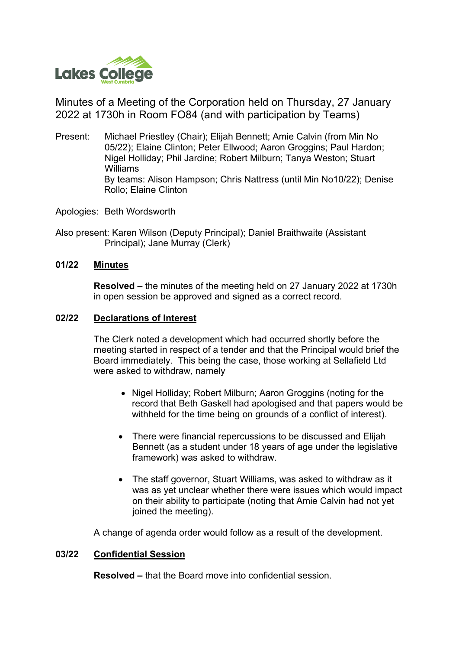

Minutes of a Meeting of the Corporation held on Thursday, 27 January 2022 at 1730h in Room FO84 (and with participation by Teams)

- Present: Michael Priestley (Chair); Elijah Bennett; Amie Calvin (from Min No 05/22); Elaine Clinton; Peter Ellwood; Aaron Groggins; Paul Hardon; Nigel Holliday; Phil Jardine; Robert Milburn; Tanya Weston; Stuart Williams By teams: Alison Hampson; Chris Nattress (until Min No10/22); Denise Rollo; Elaine Clinton
- Apologies: Beth Wordsworth
- Also present: Karen Wilson (Deputy Principal); Daniel Braithwaite (Assistant Principal); Jane Murray (Clerk)

### **01/22 Minutes**

**Resolved –** the minutes of the meeting held on 27 January 2022 at 1730h in open session be approved and signed as a correct record.

### **02/22 Declarations of Interest**

The Clerk noted a development which had occurred shortly before the meeting started in respect of a tender and that the Principal would brief the Board immediately. This being the case, those working at Sellafield Ltd were asked to withdraw, namely

- Nigel Holliday; Robert Milburn; Aaron Groggins (noting for the record that Beth Gaskell had apologised and that papers would be withheld for the time being on grounds of a conflict of interest).
- There were financial repercussions to be discussed and Elijah Bennett (as a student under 18 years of age under the legislative framework) was asked to withdraw.
- The staff governor, Stuart Williams, was asked to withdraw as it was as yet unclear whether there were issues which would impact on their ability to participate (noting that Amie Calvin had not yet joined the meeting).

A change of agenda order would follow as a result of the development.

# **03/22 Confidential Session**

**Resolved –** that the Board move into confidential session.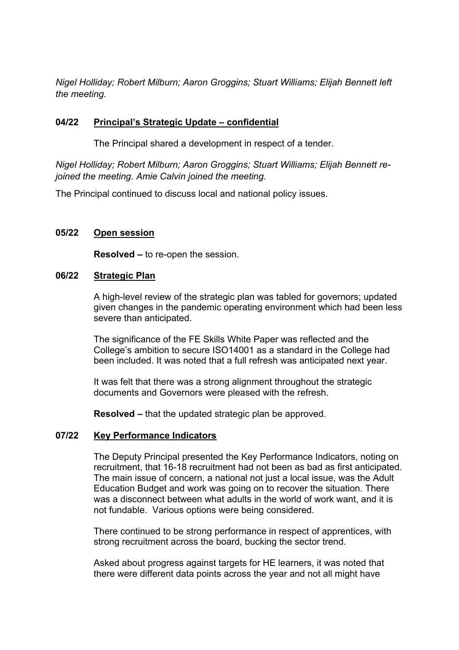*Nigel Holliday; Robert Milburn; Aaron Groggins; Stuart Williams; Elijah Bennett left the meeting.*

# **04/22 Principal's Strategic Update – confidential**

The Principal shared a development in respect of a tender.

*Nigel Holliday; Robert Milburn; Aaron Groggins; Stuart Williams; Elijah Bennett rejoined the meeting. Amie Calvin joined the meeting.*

The Principal continued to discuss local and national policy issues.

# **05/22 Open session**

**Resolved –** to re-open the session.

## **06/22 Strategic Plan**

A high-level review of the strategic plan was tabled for governors; updated given changes in the pandemic operating environment which had been less severe than anticipated.

The significance of the FE Skills White Paper was reflected and the College's ambition to secure ISO14001 as a standard in the College had been included. It was noted that a full refresh was anticipated next year.

It was felt that there was a strong alignment throughout the strategic documents and Governors were pleased with the refresh.

**Resolved –** that the updated strategic plan be approved.

## **07/22 Key Performance Indicators**

The Deputy Principal presented the Key Performance Indicators, noting on recruitment, that 16-18 recruitment had not been as bad as first anticipated. The main issue of concern, a national not just a local issue, was the Adult Education Budget and work was going on to recover the situation. There was a disconnect between what adults in the world of work want, and it is not fundable. Various options were being considered.

There continued to be strong performance in respect of apprentices, with strong recruitment across the board, bucking the sector trend.

Asked about progress against targets for HE learners, it was noted that there were different data points across the year and not all might have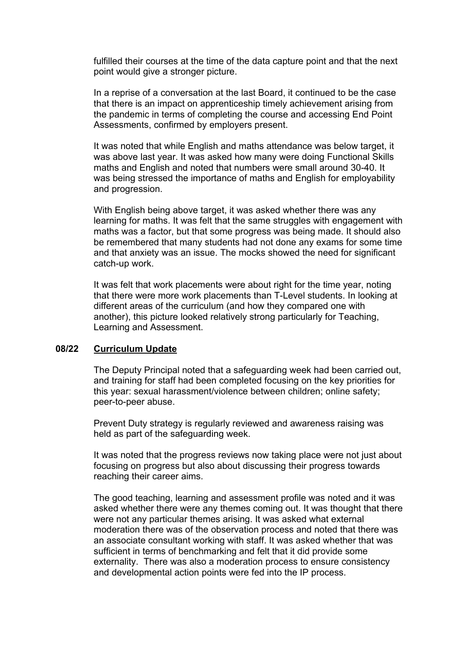fulfilled their courses at the time of the data capture point and that the next point would give a stronger picture.

In a reprise of a conversation at the last Board, it continued to be the case that there is an impact on apprenticeship timely achievement arising from the pandemic in terms of completing the course and accessing End Point Assessments, confirmed by employers present.

It was noted that while English and maths attendance was below target, it was above last year. It was asked how many were doing Functional Skills maths and English and noted that numbers were small around 30-40. It was being stressed the importance of maths and English for employability and progression.

With English being above target, it was asked whether there was any learning for maths. It was felt that the same struggles with engagement with maths was a factor, but that some progress was being made. It should also be remembered that many students had not done any exams for some time and that anxiety was an issue. The mocks showed the need for significant catch-up work.

It was felt that work placements were about right for the time year, noting that there were more work placements than T-Level students. In looking at different areas of the curriculum (and how they compared one with another), this picture looked relatively strong particularly for Teaching, Learning and Assessment.

#### **08/22 Curriculum Update**

The Deputy Principal noted that a safeguarding week had been carried out, and training for staff had been completed focusing on the key priorities for this year: sexual harassment/violence between children; online safety; peer-to-peer abuse.

Prevent Duty strategy is regularly reviewed and awareness raising was held as part of the safeguarding week.

It was noted that the progress reviews now taking place were not just about focusing on progress but also about discussing their progress towards reaching their career aims.

The good teaching, learning and assessment profile was noted and it was asked whether there were any themes coming out. It was thought that there were not any particular themes arising. It was asked what external moderation there was of the observation process and noted that there was an associate consultant working with staff. It was asked whether that was sufficient in terms of benchmarking and felt that it did provide some externality. There was also a moderation process to ensure consistency and developmental action points were fed into the IP process.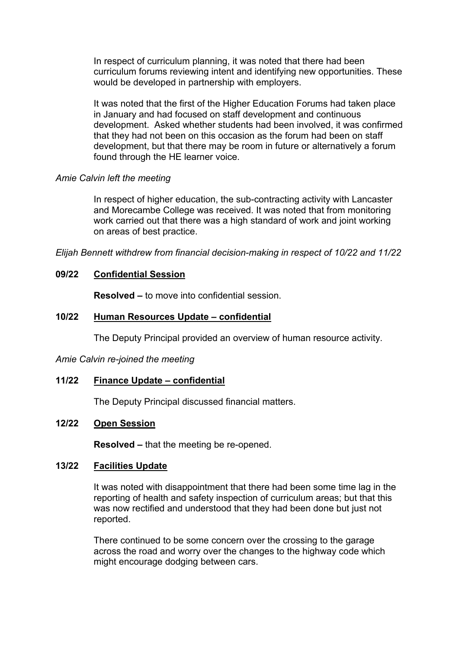In respect of curriculum planning, it was noted that there had been curriculum forums reviewing intent and identifying new opportunities. These would be developed in partnership with employers.

It was noted that the first of the Higher Education Forums had taken place in January and had focused on staff development and continuous development. Asked whether students had been involved, it was confirmed that they had not been on this occasion as the forum had been on staff development, but that there may be room in future or alternatively a forum found through the HE learner voice.

#### *Amie Calvin left the meeting*

In respect of higher education, the sub-contracting activity with Lancaster and Morecambe College was received. It was noted that from monitoring work carried out that there was a high standard of work and joint working on areas of best practice.

*Elijah Bennett withdrew from financial decision-making in respect of 10/22 and 11/22* 

## **09/22 Confidential Session**

**Resolved –** to move into confidential session.

### **10/22 Human Resources Update – confidential**

The Deputy Principal provided an overview of human resource activity.

*Amie Calvin re-joined the meeting* 

#### **11/22 Finance Update – confidential**

The Deputy Principal discussed financial matters.

### **12/22 Open Session**

**Resolved –** that the meeting be re-opened.

### **13/22 Facilities Update**

It was noted with disappointment that there had been some time lag in the reporting of health and safety inspection of curriculum areas; but that this was now rectified and understood that they had been done but just not reported.

There continued to be some concern over the crossing to the garage across the road and worry over the changes to the highway code which might encourage dodging between cars.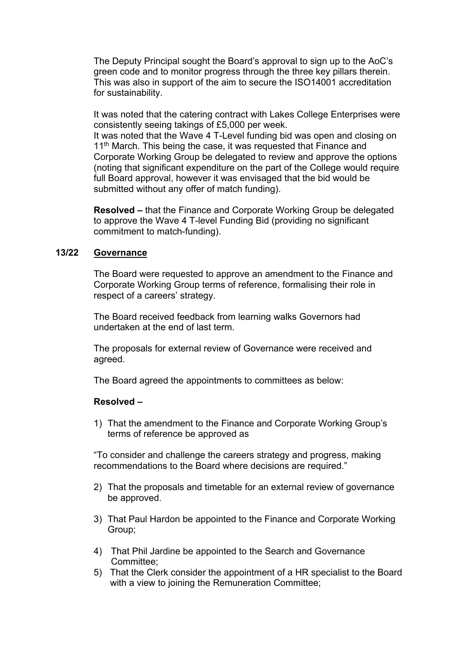The Deputy Principal sought the Board's approval to sign up to the AoC's green code and to monitor progress through the three key pillars therein. This was also in support of the aim to secure the ISO14001 accreditation for sustainability.

It was noted that the catering contract with Lakes College Enterprises were consistently seeing takings of £5,000 per week.

It was noted that the Wave 4 T-Level funding bid was open and closing on 11<sup>th</sup> March. This being the case, it was requested that Finance and Corporate Working Group be delegated to review and approve the options (noting that significant expenditure on the part of the College would require full Board approval, however it was envisaged that the bid would be submitted without any offer of match funding).

**Resolved –** that the Finance and Corporate Working Group be delegated to approve the Wave 4 T-level Funding Bid (providing no significant commitment to match-funding).

### **13/22 Governance**

The Board were requested to approve an amendment to the Finance and Corporate Working Group terms of reference, formalising their role in respect of a careers' strategy.

The Board received feedback from learning walks Governors had undertaken at the end of last term.

The proposals for external review of Governance were received and agreed.

The Board agreed the appointments to committees as below:

## **Resolved –**

1) That the amendment to the Finance and Corporate Working Group's terms of reference be approved as

"To consider and challenge the careers strategy and progress, making recommendations to the Board where decisions are required."

- 2) That the proposals and timetable for an external review of governance be approved.
- 3) That Paul Hardon be appointed to the Finance and Corporate Working Group;
- 4) That Phil Jardine be appointed to the Search and Governance Committee;
- 5) That the Clerk consider the appointment of a HR specialist to the Board with a view to joining the Remuneration Committee;